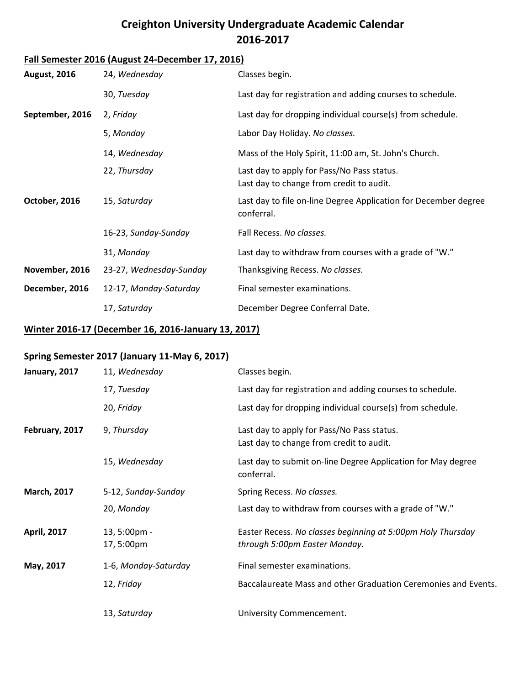## **Creighton University Undergraduate Academic Calendar 2016-2017**

## **Fall Semester 2016 (August 24-December 17, 2016)**

| <b>August, 2016</b> | 24, Wednesday           | Classes begin.                                                                         |
|---------------------|-------------------------|----------------------------------------------------------------------------------------|
|                     | 30, Tuesday             | Last day for registration and adding courses to schedule.                              |
| September, 2016     | 2, Friday               | Last day for dropping individual course(s) from schedule.                              |
|                     | 5, Monday               | Labor Day Holiday. No classes.                                                         |
|                     | 14, Wednesday           | Mass of the Holy Spirit, 11:00 am, St. John's Church.                                  |
|                     | 22, Thursday            | Last day to apply for Pass/No Pass status.<br>Last day to change from credit to audit. |
| October, 2016       | 15, Saturday            | Last day to file on-line Degree Application for December degree<br>conferral.          |
|                     | 16-23, Sunday-Sunday    | Fall Recess. No classes.                                                               |
|                     | 31, Monday              | Last day to withdraw from courses with a grade of "W."                                 |
| November, 2016      | 23-27, Wednesday-Sunday | Thanksgiving Recess. No classes.                                                       |
| December, 2016      | 12-17, Monday-Saturday  | Final semester examinations.                                                           |
|                     | 17, Saturday            | December Degree Conferral Date.                                                        |

#### **Winter 2016-17 (December 16, 2016-January 13, 2017)**

#### **Spring Semester 2017 (January 11-May 6, 2017)**

| January, 2017      | 11, Wednesday              | Classes begin.                                                                               |
|--------------------|----------------------------|----------------------------------------------------------------------------------------------|
|                    | 17, Tuesday                | Last day for registration and adding courses to schedule.                                    |
|                    | 20, Friday                 | Last day for dropping individual course(s) from schedule.                                    |
| February, 2017     | 9, Thursday                | Last day to apply for Pass/No Pass status.<br>Last day to change from credit to audit.       |
|                    | 15, Wednesday              | Last day to submit on-line Degree Application for May degree<br>conferral.                   |
| <b>March, 2017</b> | 5-12, Sunday-Sunday        | Spring Recess. No classes.                                                                   |
|                    | 20, Monday                 | Last day to withdraw from courses with a grade of "W."                                       |
| <b>April, 2017</b> | 13, 5:00pm -<br>17, 5:00pm | Easter Recess. No classes beginning at 5:00pm Holy Thursday<br>through 5:00pm Easter Monday. |
| May, 2017          | 1-6, Monday-Saturday       | Final semester examinations.                                                                 |
|                    | 12, Friday                 | Baccalaureate Mass and other Graduation Ceremonies and Events.                               |
|                    | 13, Saturday               | University Commencement.                                                                     |